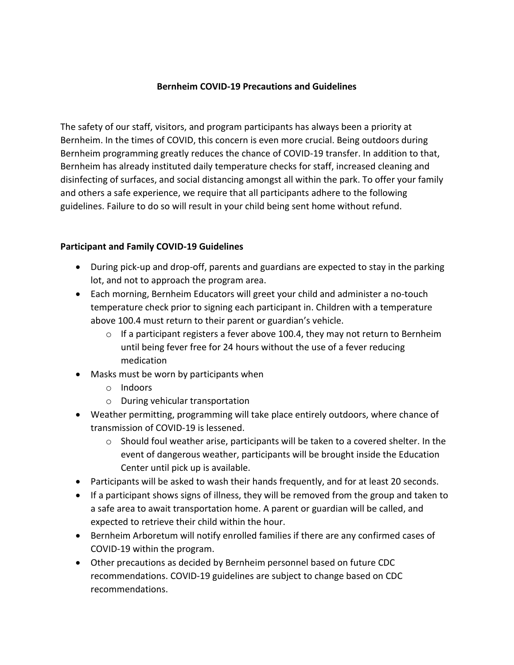## **Bernheim COVID-19 Precautions and Guidelines**

The safety of our staff, visitors, and program participants has always been a priority at Bernheim. In the times of COVID, this concern is even more crucial. Being outdoors during Bernheim programming greatly reduces the chance of COVID-19 transfer. In addition to that, Bernheim has already instituted daily temperature checks for staff, increased cleaning and disinfecting of surfaces, and social distancing amongst all within the park. To offer your family and others a safe experience, we require that all participants adhere to the following guidelines. Failure to do so will result in your child being sent home without refund.

## **Participant and Family COVID-19 Guidelines**

- During pick-up and drop-off, parents and guardians are expected to stay in the parking lot, and not to approach the program area.
- Each morning, Bernheim Educators will greet your child and administer a no-touch temperature check prior to signing each participant in. Children with a temperature above 100.4 must return to their parent or guardian's vehicle.
	- $\circ$  If a participant registers a fever above 100.4, they may not return to Bernheim until being fever free for 24 hours without the use of a fever reducing medication
- Masks must be worn by participants when
	- o Indoors
	- o During vehicular transportation
- Weather permitting, programming will take place entirely outdoors, where chance of transmission of COVID-19 is lessened.
	- $\circ$  Should foul weather arise, participants will be taken to a covered shelter. In the event of dangerous weather, participants will be brought inside the Education Center until pick up is available.
- Participants will be asked to wash their hands frequently, and for at least 20 seconds.
- If a participant shows signs of illness, they will be removed from the group and taken to a safe area to await transportation home. A parent or guardian will be called, and expected to retrieve their child within the hour.
- Bernheim Arboretum will notify enrolled families if there are any confirmed cases of COVID-19 within the program.
- Other precautions as decided by Bernheim personnel based on future CDC recommendations. COVID-19 guidelines are subject to change based on CDC recommendations.